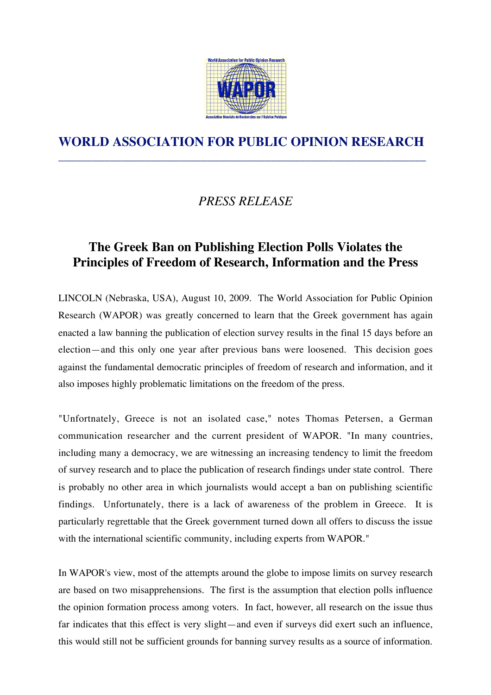

## **WORLD ASSOCIATION FOR PUBLIC OPINION RESEARCH** \_\_\_\_\_\_\_\_\_\_\_\_\_\_\_\_\_\_\_\_\_\_\_\_\_\_\_\_\_\_\_\_\_\_\_\_\_\_\_\_\_\_\_\_\_\_\_\_\_\_\_\_\_\_\_\_\_\_\_\_\_\_\_\_

## *PRESS RELEASE*

## **The Greek Ban on Publishing Election Polls Violates the Principles of Freedom of Research, Information and the Press**

LINCOLN (Nebraska, USA), August 10, 2009. The World Association for Public Opinion Research (WAPOR) was greatly concerned to learn that the Greek government has again enacted a law banning the publication of election survey results in the final 15 days before an election—and this only one year after previous bans were loosened. This decision goes against the fundamental democratic principles of freedom of research and information, and it also imposes highly problematic limitations on the freedom of the press.

"Unfortnately, Greece is not an isolated case," notes Thomas Petersen, a German communication researcher and the current president of WAPOR. "In many countries, including many a democracy, we are witnessing an increasing tendency to limit the freedom of survey research and to place the publication of research findings under state control. There is probably no other area in which journalists would accept a ban on publishing scientific findings. Unfortunately, there is a lack of awareness of the problem in Greece. It is particularly regrettable that the Greek government turned down all offers to discuss the issue with the international scientific community, including experts from WAPOR."

In WAPOR's view, most of the attempts around the globe to impose limits on survey research are based on two misapprehensions. The first is the assumption that election polls influence the opinion formation process among voters. In fact, however, all research on the issue thus far indicates that this effect is very slight—and even if surveys did exert such an influence, this would still not be sufficient grounds for banning survey results as a source of information.